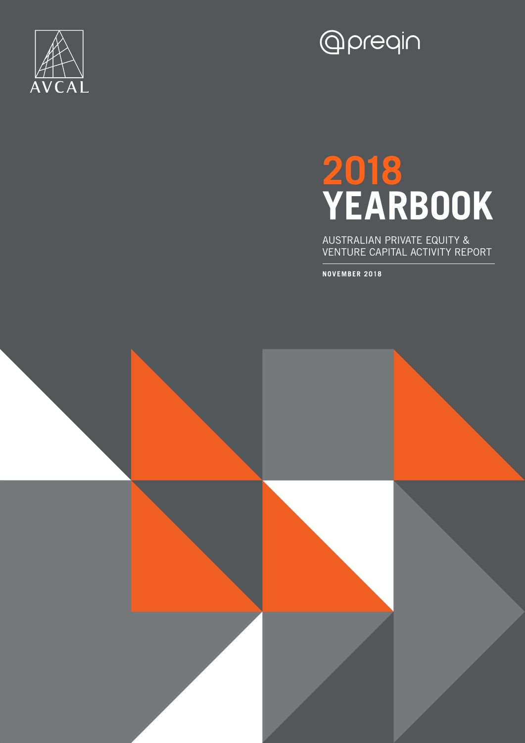

## **Opreqin**

## **2018 YEARBOOK**

AUSTRALIAN PRIVATE EQUITY & VENTURE CAPITAL ACTIVITY REPORT

**NOVEMBER 2018**

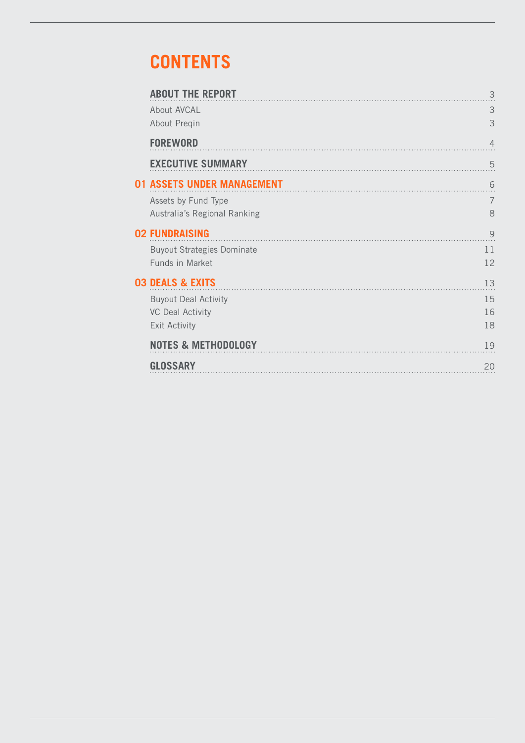## **CONTENTS**

| <b>ABOUT THE REPORT</b>           | 3              |
|-----------------------------------|----------------|
| About AVCAL                       | 3              |
| About Preqin                      | 3              |
| <b>FOREWORD</b>                   | $\overline{4}$ |
| <b>EXECUTIVE SUMMARY</b>          | 5              |
| <b>01 ASSETS UNDER MANAGEMENT</b> | 6              |
| Assets by Fund Type               | $\overline{7}$ |
| Australia's Regional Ranking      | 8              |
| <b>02 FUNDRAISING</b>             | 9              |
| <b>Buyout Strategies Dominate</b> | 11             |
| Funds in Market                   | 12             |
| <b>03 DEALS &amp; EXITS</b>       | 13             |
| <b>Buyout Deal Activity</b>       | 15             |
| <b>VC Deal Activity</b>           | 16             |
| <b>Exit Activity</b>              | 18             |
| <b>NOTES &amp; METHODOLOGY</b>    | 19             |
| <b>GLOSSARY</b>                   | 20             |
|                                   |                |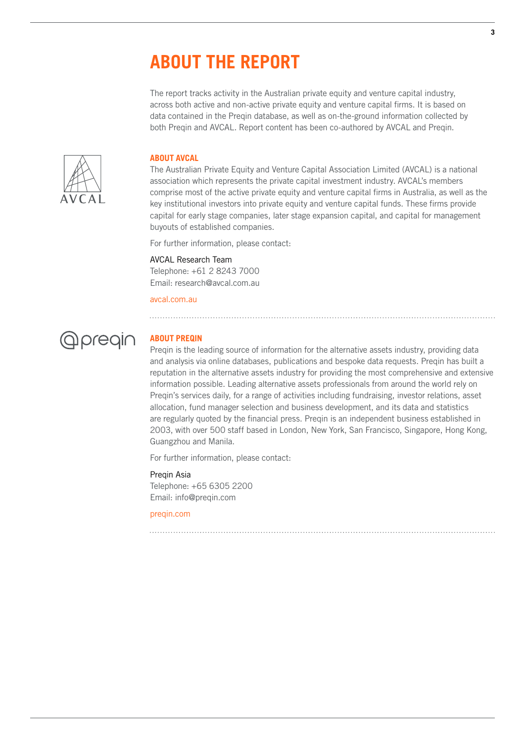## **ABOUT THE REPORT**

The report tracks activity in the Australian private equity and venture capital industry, across both active and non-active private equity and venture capital firms. It is based on data contained in the Preqin database, as well as on-the-ground information collected by both Preqin and AVCAL. Report content has been co-authored by AVCAL and Preqin.



#### **ABOUT AVCAL**

The Australian Private Equity and Venture Capital Association Limited (AVCAL) is a national association which represents the private capital investment industry. AVCAL's members comprise most of the active private equity and venture capital firms in Australia, as well as the key institutional investors into private equity and venture capital funds. These firms provide capital for early stage companies, later stage expansion capital, and capital for management buyouts of established companies.

For further information, please contact:

#### AVCAL Research Team

Telephone: +61 2 8243 7000 Email: research@avcal.com.au

avcal.com.au



## **ABOUT PREQIN**

Preqin is the leading source of information for the alternative assets industry, providing data and analysis via online databases, publications and bespoke data requests. Preqin has built a reputation in the alternative assets industry for providing the most comprehensive and extensive information possible. Leading alternative assets professionals from around the world rely on Preqin's services daily, for a range of activities including fundraising, investor relations, asset allocation, fund manager selection and business development, and its data and statistics are regularly quoted by the financial press. Preqin is an independent business established in 2003, with over 500 staff based in London, New York, San Francisco, Singapore, Hong Kong, Guangzhou and Manila.

For further information, please contact:

#### Preqin Asia

Telephone: +65 6305 2200 Email: info@preqin.com

#### preqin.com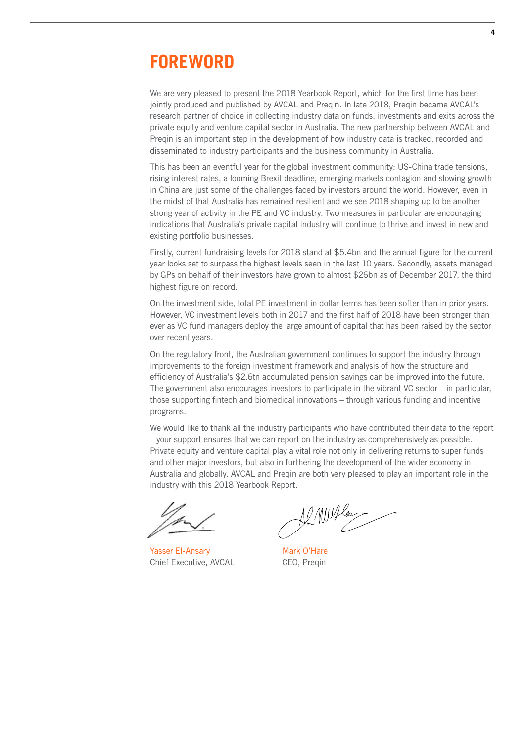## **FOREWORD**

We are very pleased to present the 2018 Yearbook Report, which for the first time has been jointly produced and published by AVCAL and Preqin. In late 2018, Preqin became AVCAL's research partner of choice in collecting industry data on funds, investments and exits across the private equity and venture capital sector in Australia. The new partnership between AVCAL and Preqin is an important step in the development of how industry data is tracked, recorded and disseminated to industry participants and the business community in Australia.

This has been an eventful year for the global investment community: US-China trade tensions, rising interest rates, a looming Brexit deadline, emerging markets contagion and slowing growth in China are just some of the challenges faced by investors around the world. However, even in the midst of that Australia has remained resilient and we see 2018 shaping up to be another strong year of activity in the PE and VC industry. Two measures in particular are encouraging indications that Australia's private capital industry will continue to thrive and invest in new and existing portfolio businesses.

Firstly, current fundraising levels for 2018 stand at \$5.4bn and the annual figure for the current year looks set to surpass the highest levels seen in the last 10 years. Secondly, assets managed by GPs on behalf of their investors have grown to almost \$26bn as of December 2017, the third highest figure on record.

On the investment side, total PE investment in dollar terms has been softer than in prior years. However, VC investment levels both in 2017 and the first half of 2018 have been stronger than ever as VC fund managers deploy the large amount of capital that has been raised by the sector over recent years.

On the regulatory front, the Australian government continues to support the industry through improvements to the foreign investment framework and analysis of how the structure and efficiency of Australia's \$2.6tn accumulated pension savings can be improved into the future. The government also encourages investors to participate in the vibrant VC sector – in particular, those supporting fintech and biomedical innovations – through various funding and incentive programs.

We would like to thank all the industry participants who have contributed their data to the report – your support ensures that we can report on the industry as comprehensively as possible. Private equity and venture capital play a vital role not only in delivering returns to super funds and other major investors, but also in furthering the development of the wider economy in Australia and globally. AVCAL and Preqin are both very pleased to play an important role in the industry with this 2018 Yearbook Report.

Yasser El-Ansary Chief Executive, AVCAL

12 MW les

Mark O'Hare CEO, Preqin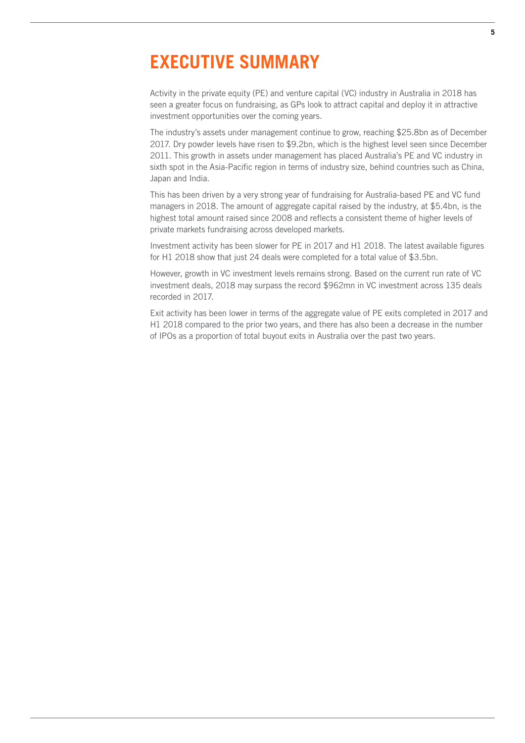## **EXECUTIVE SUMMARY**

Activity in the private equity (PE) and venture capital (VC) industry in Australia in 2018 has seen a greater focus on fundraising, as GPs look to attract capital and deploy it in attractive investment opportunities over the coming years.

The industry's assets under management continue to grow, reaching \$25.8bn as of December 2017. Dry powder levels have risen to \$9.2bn, which is the highest level seen since December 2011. This growth in assets under management has placed Australia's PE and VC industry in sixth spot in the Asia-Pacific region in terms of industry size, behind countries such as China, Japan and India.

This has been driven by a very strong year of fundraising for Australia-based PE and VC fund managers in 2018. The amount of aggregate capital raised by the industry, at \$5.4bn, is the highest total amount raised since 2008 and reflects a consistent theme of higher levels of private markets fundraising across developed markets.

Investment activity has been slower for PE in 2017 and H1 2018. The latest available figures for H1 2018 show that just 24 deals were completed for a total value of \$3.5bn.

However, growth in VC investment levels remains strong. Based on the current run rate of VC investment deals, 2018 may surpass the record \$962mn in VC investment across 135 deals recorded in 2017.

Exit activity has been lower in terms of the aggregate value of PE exits completed in 2017 and H1 2018 compared to the prior two years, and there has also been a decrease in the number of IPOs as a proportion of total buyout exits in Australia over the past two years.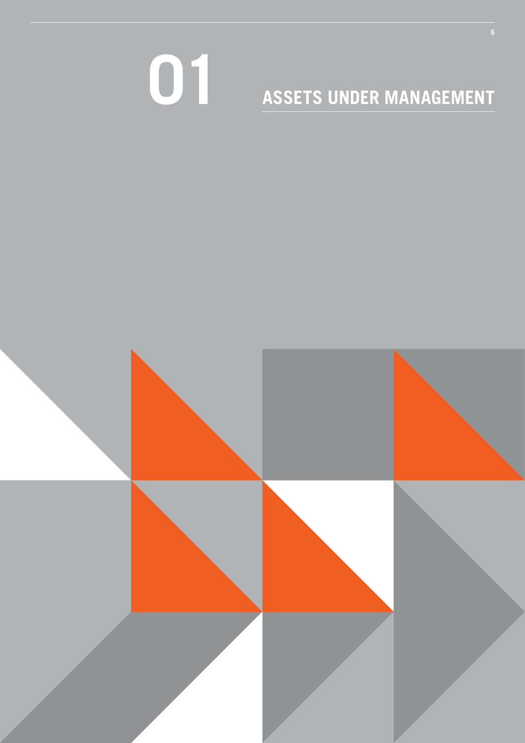# **ASSETS UNDER MANAGEMENT**

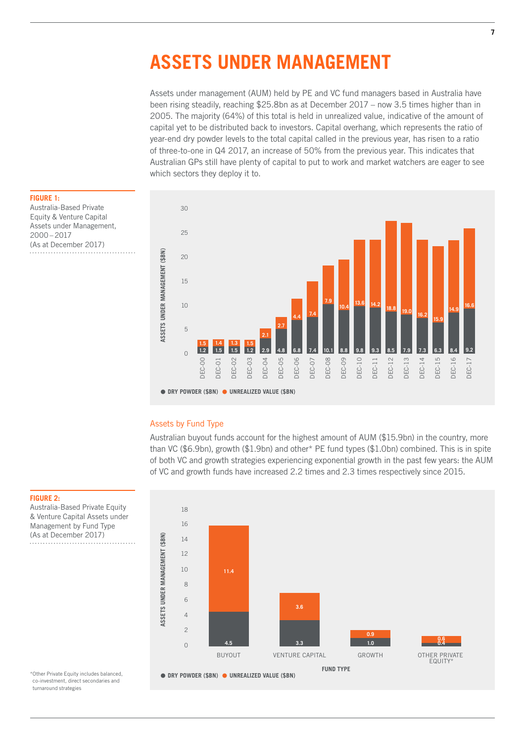## **ASSETS UNDER MANAGEMENT**

Assets under management (AUM) held by PE and VC fund managers based in Australia have been rising steadily, reaching \$25.8bn as at December 2017 – now 3.5 times higher than in 2005. The majority (64%) of this total is held in unrealized value, indicative of the amount of capital yet to be distributed back to investors. Capital overhang, which represents the ratio of year-end dry powder levels to the total capital called in the previous year, has risen to a ratio of three-to-one in Q4 2017, an increase of 50% from the previous year. This indicates that Australian GPs still have plenty of capital to put to work and market watchers are eager to see which sectors they deploy it to.



## **FIGURE 1:**

Australia-Based Private Equity & Venture Capital Assets under Management, 2000 – 2017 (As at December 2017)

#### Assets by Fund Type

Australian buyout funds account for the highest amount of AUM (\$15.9bn) in the country, more than VC (\$6.9bn), growth (\$1.9bn) and other\* PE fund types (\$1.0bn) combined. This is in spite of both VC and growth strategies experiencing exponential growth in the past few years: the AUM of VC and growth funds have increased 2.2 times and 2.3 times respectively since 2015.

#### **FIGURE 2:**

Australia-Based Private Equity & Venture Capital Assets under Management by Fund Type (As at December 2017) . . . . . . . . . . . . . . . . . . . .



co-investment, direct secondaries and turnaround strategies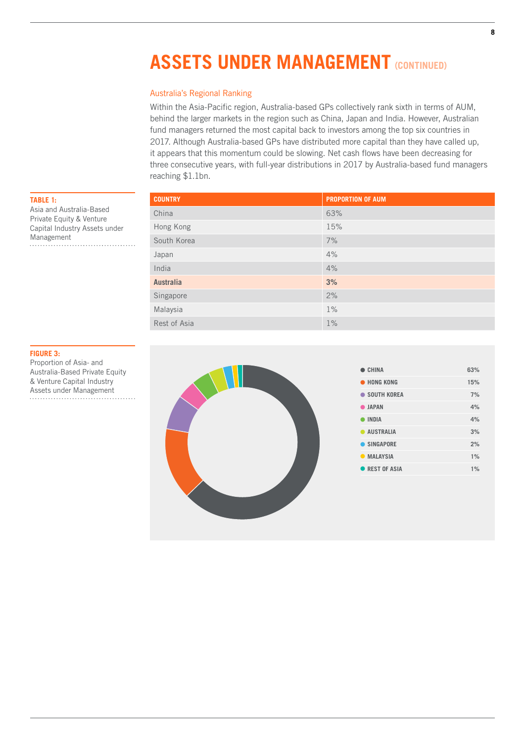## **ASSETS UNDER MANAGEMENT (CONTINUED)**

### Australia's Regional Ranking

Within the Asia-Pacific region, Australia-based GPs collectively rank sixth in terms of AUM, behind the larger markets in the region such as China, Japan and India. However, Australian fund managers returned the most capital back to investors among the top six countries in 2017. Although Australia-based GPs have distributed more capital than they have called up, it appears that this momentum could be slowing. Net cash flows have been decreasing for three consecutive years, with full-year distributions in 2017 by Australia-based fund managers reaching \$1.1bn.

| <b>COUNTRY</b>   | <b>PROPORTION OF AUM</b> |
|------------------|--------------------------|
| China            | 63%                      |
| Hong Kong        | 15%                      |
| South Korea      | 7%                       |
| Japan            | 4%                       |
| India            | 4%                       |
| <b>Australia</b> | 3%                       |
| Singapore        | 2%                       |
| Malaysia         | $1\%$                    |
| Rest of Asia     | $1\%$                    |

**TABLE 1:** 

Management

Asia and Australia-Based Private Equity & Venture Capital Industry Assets under

**FIGURE 3:**  Proportion of Asia- and Australia-Based Private Equity & Venture Capital Industry Assets under Management



| CHINA           | 63%   |
|-----------------|-------|
| • HONG KONG     | 15%   |
| • SOUTH KOREA   | 7%    |
| <b>O</b> JAPAN  | 4%    |
| <b>INDIA</b>    | 4%    |
| AUSTRALIA       | 3%    |
| SINGAPORE       | 2%    |
| <b>MALAYSIA</b> | $1\%$ |
| REST OF ASIA    | 1%    |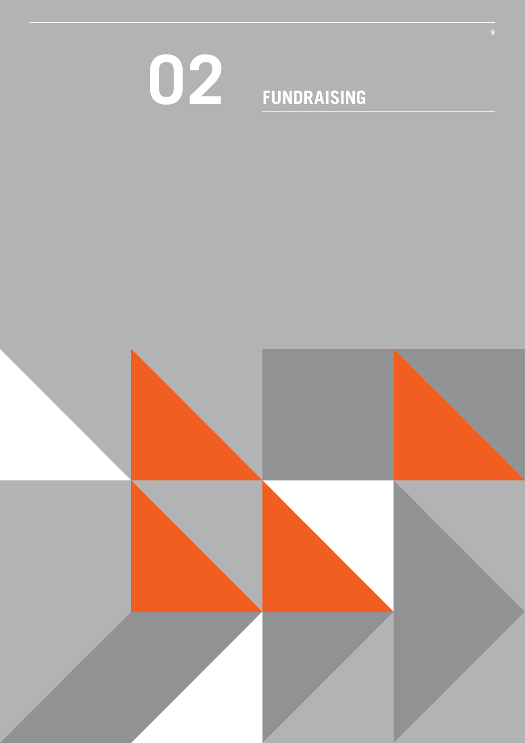# **FUNDRAISING**

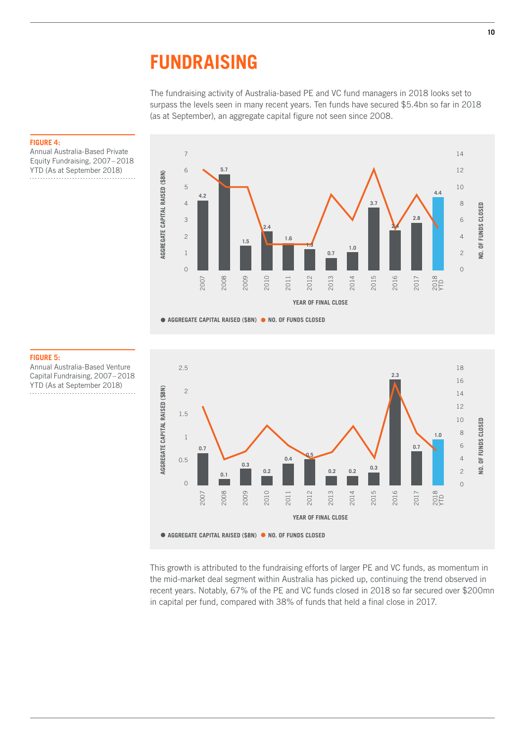## **FUNDRAISING**

The fundraising activity of Australia-based PE and VC fund managers in 2018 looks set to surpass the levels seen in many recent years. Ten funds have secured \$5.4bn so far in 2018 (as at September), an aggregate capital figure not seen since 2008.



#### **FIGURE 4:**

Annual Australia-Based Private Equity Fundraising, 2007 – 2018 YTD (As at September 2018)

#### **FIGURE 5:**

Annual Australia-Based Venture Capital Fundraising, 2007 – 2018 YTD (As at September 2018)



This growth is attributed to the fundraising efforts of larger PE and VC funds, as momentum in the mid-market deal segment within Australia has picked up, continuing the trend observed in recent years. Notably, 67% of the PE and VC funds closed in 2018 so far secured over \$200mn in capital per fund, compared with 38% of funds that held a final close in 2017.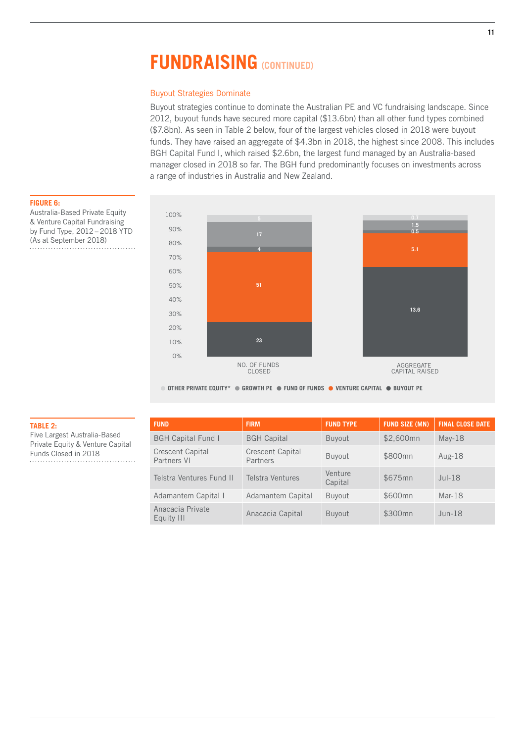## **FUNDRAISING (CONTINUED)**

#### Buyout Strategies Dominate

Buyout strategies continue to dominate the Australian PE and VC fundraising landscape. Since 2012, buyout funds have secured more capital (\$13.6bn) than all other fund types combined (\$7.8bn). As seen in Table 2 below, four of the largest vehicles closed in 2018 were buyout funds. They have raised an aggregate of \$4.3bn in 2018, the highest since 2008. This includes BGH Capital Fund I, which raised \$2.6bn, the largest fund managed by an Australia-based manager closed in 2018 so far. The BGH fund predominantly focuses on investments across a range of industries in Australia and New Zealand.



**TABLE 2:** 

Five Largest Australia-Based Private Equity & Venture Capital

Funds Closed in 2018

Australia-Based Private Equity & Venture Capital Fundraising by Fund Type, 2012 – 2018 YTD (As at September 2018)



**• OTHER PRIVATE EQUITY\* • GROWTH PE • FUND OF FUNDS • VENTURE CAPITAL • BUYOUT PE**

| <b>FUND</b>                            | <b>FIRM</b>                         | <b>FUND TYPE</b>   | <b>FUND SIZE (MN)</b> | <b>FINAL CLOSE DATE</b> |
|----------------------------------------|-------------------------------------|--------------------|-----------------------|-------------------------|
| <b>BGH Capital Fund I</b>              | <b>BGH Capital</b>                  | <b>Buyout</b>      | \$2,600mn             | $May-18$                |
| <b>Crescent Capital</b><br>Partners VI | <b>Crescent Capital</b><br>Partners | Buyout             | \$800mn               | Aug- $18$               |
| Telstra Ventures Fund II               | Telstra Ventures                    | Venture<br>Capital | \$675mn               | $Jul-18$                |
| Adamantem Capital I                    | Adamantem Capital                   | <b>Buyout</b>      | \$600mn               | $Mar-18$                |
| Anacacia Private<br>Equity III         | Anacacia Capital                    | <b>Buyout</b>      | \$300mn               | $J$ un-18               |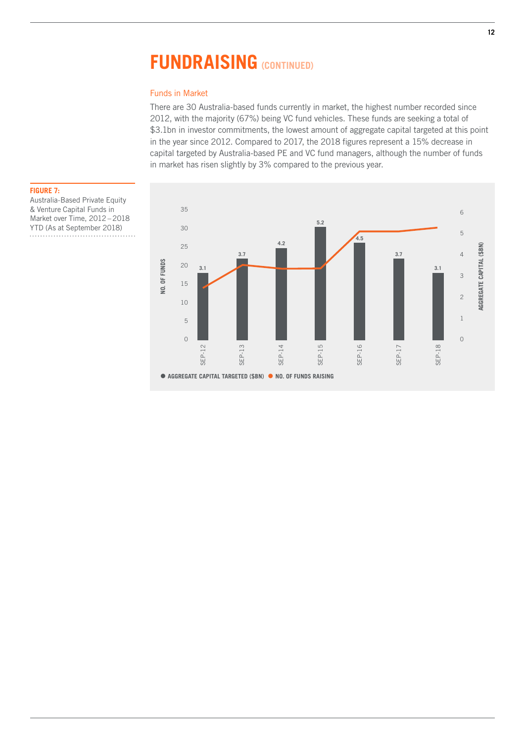## **FUNDRAISING (CONTINUED)**

## Funds in Market

There are 30 Australia-based funds currently in market, the highest number recorded since 2012, with the majority (67%) being VC fund vehicles. These funds are seeking a total of \$3.1bn in investor commitments, the lowest amount of aggregate capital targeted at this point in the year since 2012. Compared to 2017, the 2018 figures represent a 15% decrease in capital targeted by Australia-based PE and VC fund managers, although the number of funds in market has risen slightly by 3% compared to the previous year.



Australia-Based Private Equity & Venture Capital Funds in Market over Time, 2012 – 2018 YTD (As at September 2018) . . . . . . . . . . . . . . . . . . . . . . . . . . . . . .

#### **FIGURE 7:**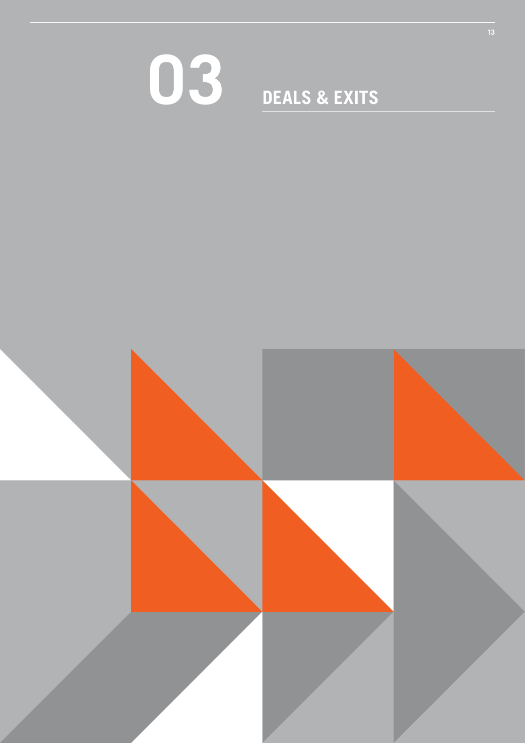## **DEALS & EXITS**

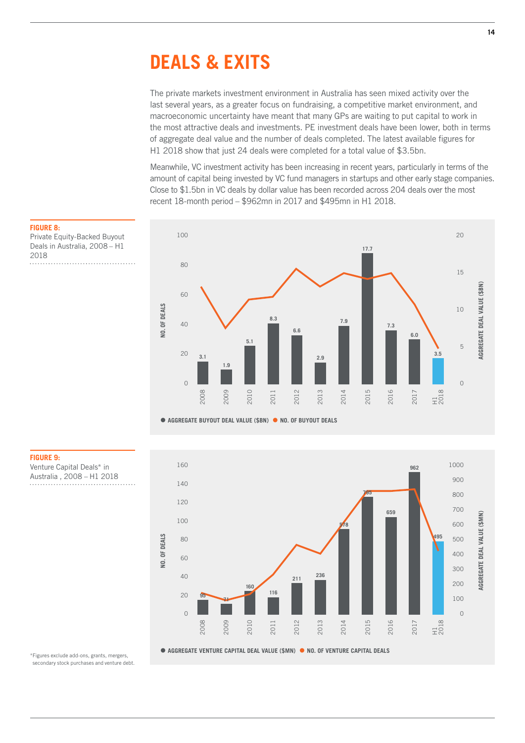## **DEALS & EXITS**

The private markets investment environment in Australia has seen mixed activity over the last several years, as a greater focus on fundraising, a competitive market environment, and macroeconomic uncertainty have meant that many GPs are waiting to put capital to work in the most attractive deals and investments. PE investment deals have been lower, both in terms of aggregate deal value and the number of deals completed. The latest available figures for H1 2018 show that just 24 deals were completed for a total value of \$3.5bn.

Meanwhile, VC investment activity has been increasing in recent years, particularly in terms of the amount of capital being invested by VC fund managers in startups and other early stage companies. Close to \$1.5bn in VC deals by dollar value has been recorded across 204 deals over the most recent 18-month period – \$962mn in 2017 and \$495mn in H1 2018.





#### \*Figures exclude add-ons, grants, mergers, secondary stock purchases and venture debt.

**FIGURE 8:**  Private Equity-Backed Buyout Deals in Australia, 2008 – H1 . . . . . . . . . . . . . . . . . . . .

**FIGURE 9:** 

Venture Capital Deals\* in Australia , 2008 – H1 2018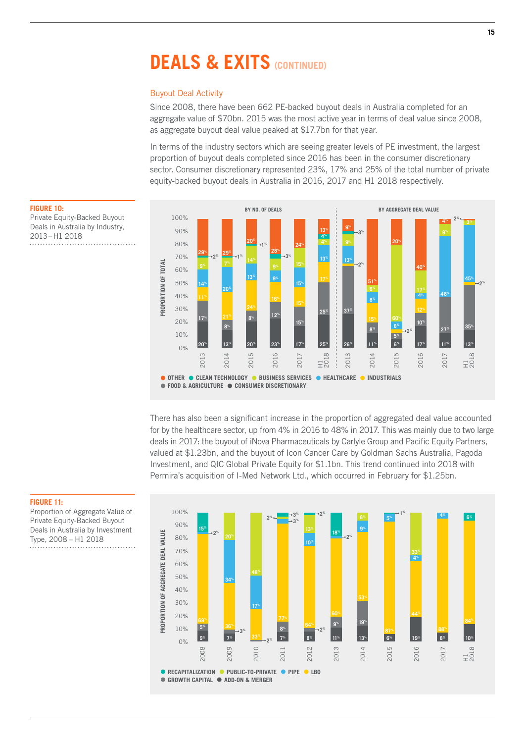#### Buyout Deal Activity

Since 2008, there have been 662 PE-backed buyout deals in Australia completed for an aggregate value of \$70bn. 2015 was the most active year in terms of deal value since 2008, as aggregate buyout deal value peaked at \$17.7bn for that year.

In terms of the industry sectors which are seeing greater levels of PE investment, the largest proportion of buyout deals completed since 2016 has been in the consumer discretionary sector. Consumer discretionary represented 23%, 17% and 25% of the total number of private equity-backed buyout deals in Australia in 2016, 2017 and H1 2018 respectively.



There has also been a significant increase in the proportion of aggregated deal value accounted for by the healthcare sector, up from 4% in 2016 to 48% in 2017. This was mainly due to two large deals in 2017: the buyout of iNova Pharmaceuticals by Carlyle Group and Pacific Equity Partners, valued at \$1.23bn, and the buyout of Icon Cancer Care by Goldman Sachs Australia, Pagoda Investment, and QIC Global Private Equity for \$1.1bn. This trend continued into 2018 with Permira's acquisition of I-Med Network Ltd., which occurred in February for \$1.25bn.



**FIGURE 10:**  Private Equity-Backed Buyout Deals in Australia by Industry, 2013 – H1 2018



#### **FIGURE 11:**

Proportion of Aggregate Value of Private Equity-Backed Buyout Deals in Australia by Investment Type, 2008 – H1 2018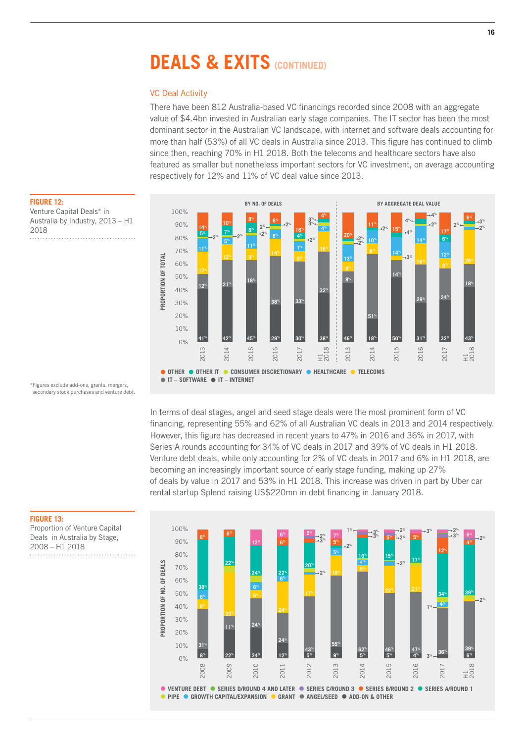### VC Deal Activity

There have been 812 Australia-based VC financings recorded since 2008 with an aggregate value of \$4.4bn invested in Australian early stage companies. The IT sector has been the most dominant sector in the Australian VC landscape, with internet and software deals accounting for more than half (53%) of all VC deals in Australia since 2013. This figure has continued to climb since then, reaching 70% in H1 2018. Both the telecoms and healthcare sectors have also featured as smaller but nonetheless important sectors for VC investment, on average accounting respectively for 12% and 11% of VC deal value since 2013.



**FIGURE 12:**  Venture Capital Deals\* in Australia by Industry, 2013 – H1 2018 

\*Figures exclude add-ons, grants, mergers, secondary stock purchases and venture debt.

> In terms of deal stages, angel and seed stage deals were the most prominent form of VC financing, representing 55% and 62% of all Australian VC deals in 2013 and 2014 respectively. However, this figure has decreased in recent years to 47% in 2016 and 36% in 2017, with Series A rounds accounting for 34% of VC deals in 2017 and 39% of VC deals in H1 2018. Venture debt deals, while only accounting for 2% of VC deals in 2017 and 6% in H1 2018, are becoming an increasingly important source of early stage funding, making up 27% of deals by value in 2017 and 53% in H1 2018. This increase was driven in part by Uber car rental startup Splend raising US\$220mn in debt financing in January 2018.



**FIGURE 13:** 

Proportion of Venture Capital Deals in Australia by Stage, 2008 – H1 2018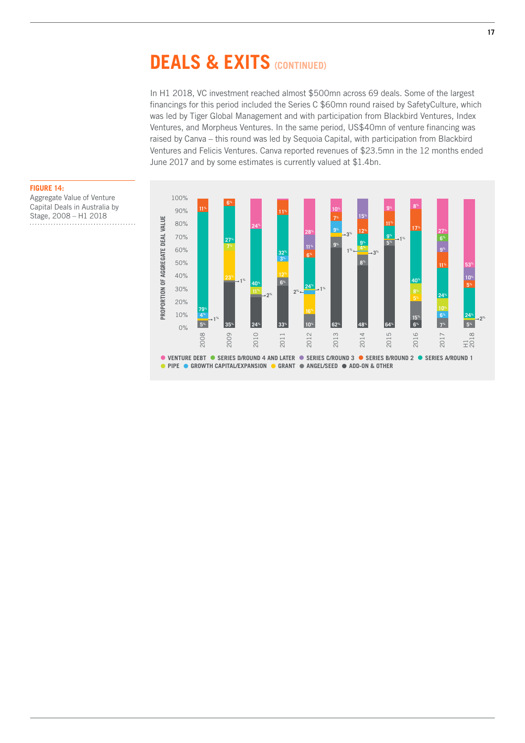In H1 2018, VC investment reached almost \$500mn across 69 deals. Some of the largest financings for this period included the Series C \$60mn round raised by SafetyCulture, which was led by Tiger Global Management and with participation from Blackbird Ventures, Index Ventures, and Morpheus Ventures. In the same period, US\$40mn of venture financing was raised by Canva – this round was led by Sequoia Capital, with participation from Blackbird Ventures and Felicis Ventures. Canva reported revenues of \$23.5mn in the 12 months ended June 2017 and by some estimates is currently valued at \$1.4bn.



**FIGURE 14:**  Aggregate Value of Venture Capital Deals in Australia by Stage, 2008 – H1 2018 

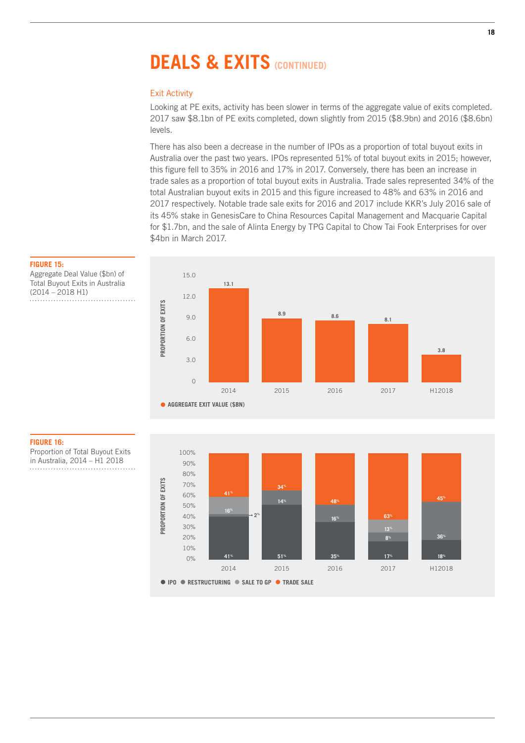### Exit Activity

Looking at PE exits, activity has been slower in terms of the aggregate value of exits completed. 2017 saw \$8.1bn of PE exits completed, down slightly from 2015 (\$8.9bn) and 2016 (\$8.6bn) levels.

There has also been a decrease in the number of IPOs as a proportion of total buyout exits in Australia over the past two years. IPOs represented 51% of total buyout exits in 2015; however, this figure fell to 35% in 2016 and 17% in 2017. Conversely, there has been an increase in trade sales as a proportion of total buyout exits in Australia. Trade sales represented 34% of the total Australian buyout exits in 2015 and this figure increased to 48% and 63% in 2016 and 2017 respectively. Notable trade sale exits for 2016 and 2017 include KKR's July 2016 sale of its 45% stake in GenesisCare to China Resources Capital Management and Macquarie Capital for \$1.7bn, and the sale of Alinta Energy by TPG Capital to Chow Tai Fook Enterprises for over \$4bn in March 2017.





#### **FIGURE 15:**  Aggregate Deal Value (\$bn) of Total Buyout Exits in Australia

(2014 – 2018 H1)

#### **FIGURE 16:**

Proportion of Total Buyout Exits in Australia, 2014 – H1 2018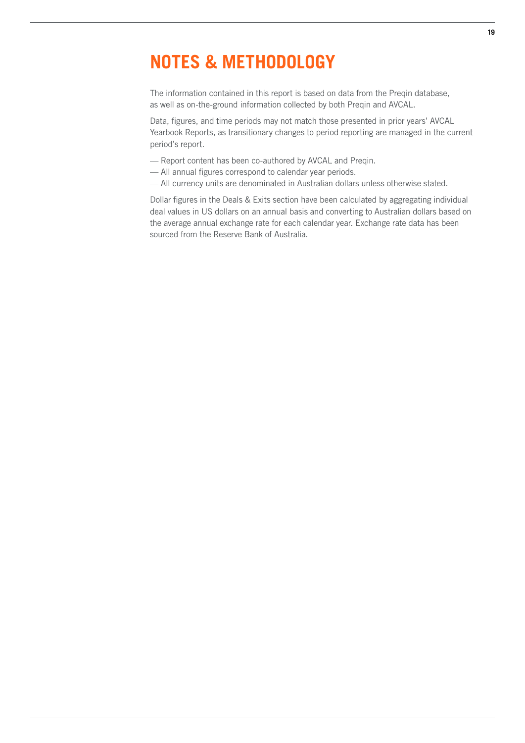## **NOTES & METHODOLOGY**

The information contained in this report is based on data from the Preqin database, as well as on-the-ground information collected by both Preqin and AVCAL.

Data, figures, and time periods may not match those presented in prior years' AVCAL Yearbook Reports, as transitionary changes to period reporting are managed in the current period's report.

- Report content has been co-authored by AVCAL and Preqin.
- All annual figures correspond to calendar year periods.
- All currency units are denominated in Australian dollars unless otherwise stated.

Dollar figures in the Deals & Exits section have been calculated by aggregating individual deal values in US dollars on an annual basis and converting to Australian dollars based on the average annual exchange rate for each calendar year. Exchange rate data has been sourced from the Reserve Bank of Australia.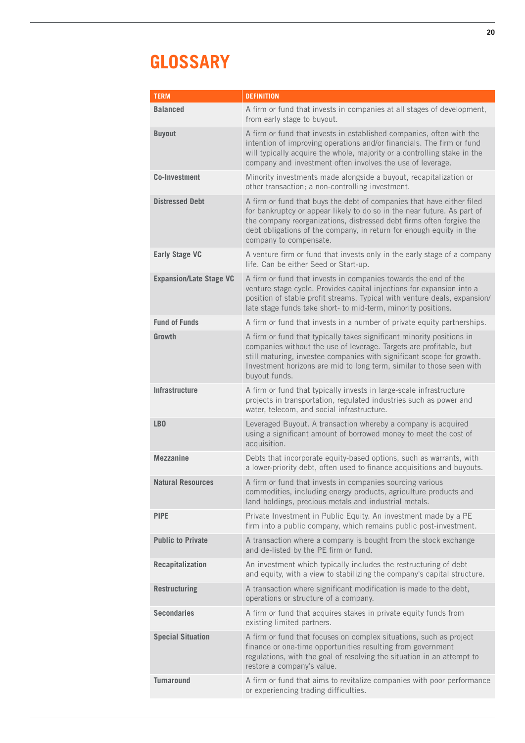## **GLOSSARY**

| <b>TERM</b>                    | <b>DEFINITION</b>                                                                                                                                                                                                                                                                                                         |
|--------------------------------|---------------------------------------------------------------------------------------------------------------------------------------------------------------------------------------------------------------------------------------------------------------------------------------------------------------------------|
| <b>Balanced</b>                | A firm or fund that invests in companies at all stages of development,<br>from early stage to buyout.                                                                                                                                                                                                                     |
| <b>Buyout</b>                  | A firm or fund that invests in established companies, often with the<br>intention of improving operations and/or financials. The firm or fund<br>will typically acquire the whole, majority or a controlling stake in the<br>company and investment often involves the use of leverage.                                   |
| <b>Co-Investment</b>           | Minority investments made alongside a buyout, recapitalization or<br>other transaction; a non-controlling investment.                                                                                                                                                                                                     |
| <b>Distressed Debt</b>         | A firm or fund that buys the debt of companies that have either filed<br>for bankruptcy or appear likely to do so in the near future. As part of<br>the company reorganizations, distressed debt firms often forgive the<br>debt obligations of the company, in return for enough equity in the<br>company to compensate. |
| <b>Early Stage VC</b>          | A venture firm or fund that invests only in the early stage of a company<br>life. Can be either Seed or Start-up.                                                                                                                                                                                                         |
| <b>Expansion/Late Stage VC</b> | A firm or fund that invests in companies towards the end of the<br>venture stage cycle. Provides capital injections for expansion into a<br>position of stable profit streams. Typical with venture deals, expansion/<br>late stage funds take short- to mid-term, minority positions.                                    |
| <b>Fund of Funds</b>           | A firm or fund that invests in a number of private equity partnerships.                                                                                                                                                                                                                                                   |
| Growth                         | A firm or fund that typically takes significant minority positions in<br>companies without the use of leverage. Targets are profitable, but<br>still maturing, investee companies with significant scope for growth.<br>Investment horizons are mid to long term, similar to those seen with<br>buyout funds.             |
| <b>Infrastructure</b>          | A firm or fund that typically invests in large-scale infrastructure<br>projects in transportation, regulated industries such as power and<br>water, telecom, and social infrastructure.                                                                                                                                   |
| LB <sub>0</sub>                | Leveraged Buyout. A transaction whereby a company is acquired<br>using a significant amount of borrowed money to meet the cost of<br>acquisition.                                                                                                                                                                         |
| <b>Mezzanine</b>               | Debts that incorporate equity-based options, such as warrants, with<br>a lower-priority debt, often used to finance acquisitions and buyouts.                                                                                                                                                                             |
| <b>Natural Resources</b>       | A firm or fund that invests in companies sourcing various<br>commodities, including energy products, agriculture products and<br>land holdings, precious metals and industrial metals.                                                                                                                                    |
| <b>PIPE</b>                    | Private Investment in Public Equity. An investment made by a PE<br>firm into a public company, which remains public post-investment.                                                                                                                                                                                      |
| <b>Public to Private</b>       | A transaction where a company is bought from the stock exchange<br>and de-listed by the PE firm or fund.                                                                                                                                                                                                                  |
| Recapitalization               | An investment which typically includes the restructuring of debt<br>and equity, with a view to stabilizing the company's capital structure.                                                                                                                                                                               |
| <b>Restructuring</b>           | A transaction where significant modification is made to the debt,<br>operations or structure of a company.                                                                                                                                                                                                                |
| <b>Secondaries</b>             | A firm or fund that acquires stakes in private equity funds from<br>existing limited partners.                                                                                                                                                                                                                            |
| <b>Special Situation</b>       | A firm or fund that focuses on complex situations, such as project<br>finance or one-time opportunities resulting from government<br>regulations, with the goal of resolving the situation in an attempt to<br>restore a company's value.                                                                                 |
| <b>Turnaround</b>              | A firm or fund that aims to revitalize companies with poor performance<br>or experiencing trading difficulties.                                                                                                                                                                                                           |